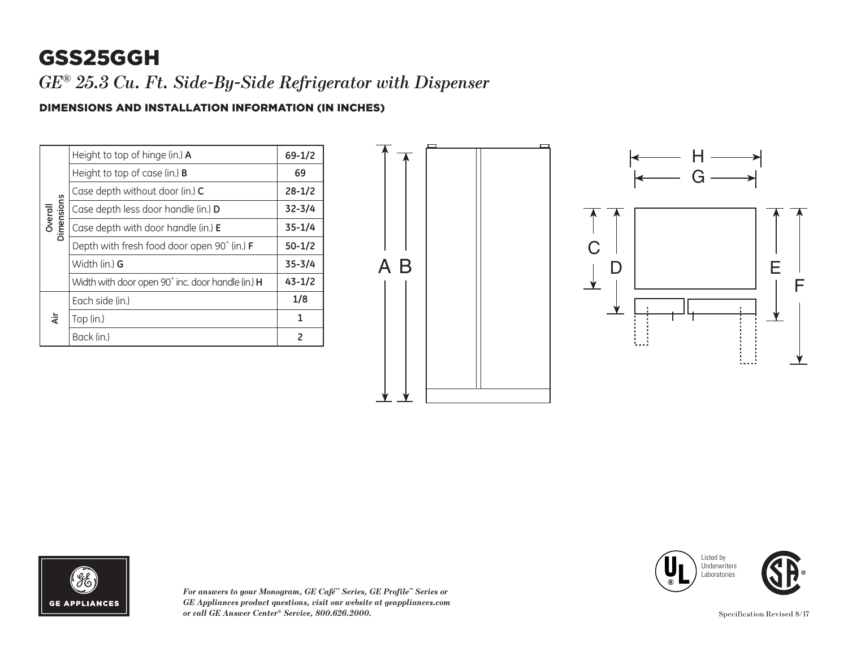## GSS25GGH

*GE® 25.3 Cu. Ft. Side-By-Side Refrigerator with Dispenser*

## DIMENSIONS AND INSTALLATION INFORMATION (IN INCHES)

| Overall<br>Dimensions | Height to top of hinge (in.) A                    | $69 - 1/2$ |
|-----------------------|---------------------------------------------------|------------|
|                       | Height to top of case (in.) <b>B</b>              | 69         |
|                       | Case depth without door (in.) C                   | $28 - 1/2$ |
|                       | Case depth less door handle (in.) D               | $32 - 3/4$ |
|                       | Case depth with door handle (in.) E               | $35 - 1/4$ |
|                       | Depth with fresh food door open 90° (in.) F       | $50 - 1/2$ |
|                       | Width (in.) <b>G</b>                              | $35 - 3/4$ |
|                       | Width with door open 90° inc. door handle (in.) H | $43 - 1/2$ |
| दं                    | Each side (in.)                                   | 1/8        |
|                       | Top (in.)                                         | 1          |
|                       | Back (in.)                                        | 2          |





*For answers to your Monogram, GE Café™ Series, GE Profile™ Series or GE Appliances product questions, visit our website at geappliances.com or call GE Answer Center® Service, 800.626.2000.* Specification Revised 8/17